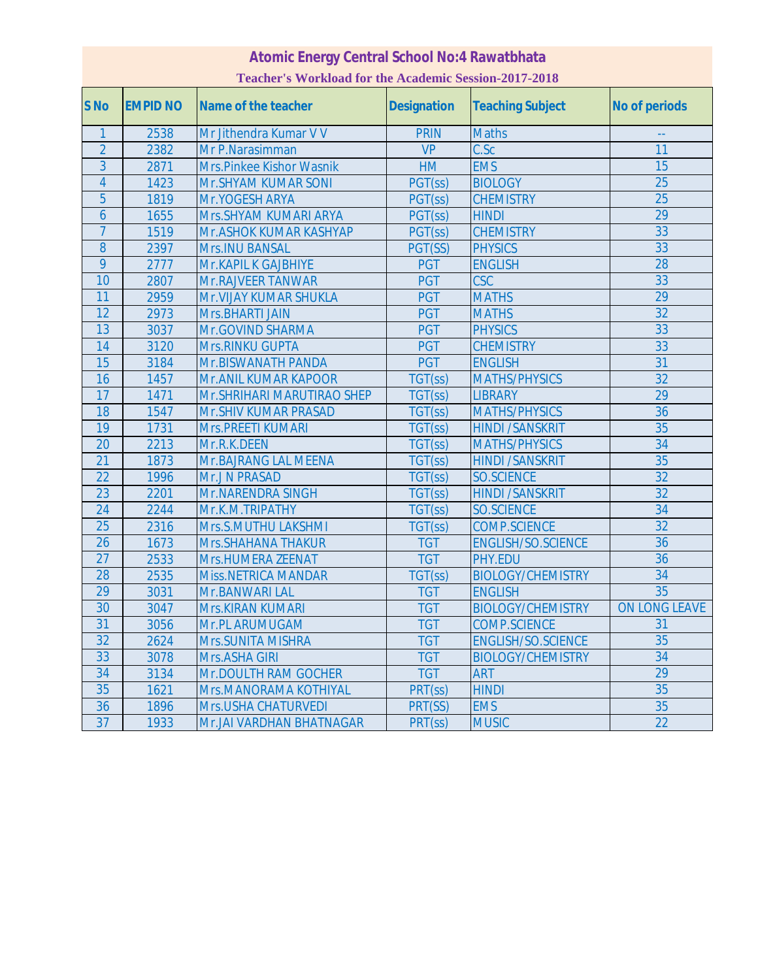## **Atomic Energy Central School No:4 Rawatbhata Teacher's Workload for the Academic Session-2017-2018**

| S <sub>No</sub> | <b>EMPID NO</b> | Name of the teacher         | <b>Designation</b> | <b>Teaching Subject</b>   | <b>No of periods</b> |
|-----------------|-----------------|-----------------------------|--------------------|---------------------------|----------------------|
| $\mathbf{1}$    | 2538            | Mr Jithendra Kumar V V      | <b>PRIN</b>        | <b>Maths</b>              |                      |
| $\overline{2}$  | 2382            | Mr P.Narasimman             | <b>VP</b>          | C.Sc                      | $\overline{11}$      |
| 3               | 2871            | Mrs.Pinkee Kishor Wasnik    | HM                 | <b>EMS</b>                | 15                   |
| $\overline{4}$  | 1423            | Mr.SHYAM KUMAR SONI         | PGT(ss)            | <b>BIOLOGY</b>            | 25                   |
| 5               | 1819            | Mr.YOGESH ARYA              | PGT(ss)            | <b>CHEMISTRY</b>          | 25                   |
| $\overline{6}$  | 1655            | Mrs. SHYAM KUMARI ARYA      | PGT(ss)            | <b>HINDI</b>              | 29                   |
| $\overline{7}$  | 1519            | Mr. ASHOK KUMAR KASHYAP     | PGT(ss)            | <b>CHEMISTRY</b>          | 33                   |
| 8               | 2397            | Mrs.INU BANSAL              | PGT(SS)            | <b>PHYSICS</b>            | 33                   |
| 9               | 2777            | Mr. KAPIL K GAJBHIYE        | <b>PGT</b>         | <b>ENGLISH</b>            | 28                   |
| 10              | 2807            | Mr.RAJVEER TANWAR           | <b>PGT</b>         | <b>CSC</b>                | 33                   |
| 11              | 2959            | Mr. VIJAY KUMAR SHUKLA      | <b>PGT</b>         | <b>MATHS</b>              | 29                   |
| 12              | 2973            | Mrs.BHARTI JAIN             | <b>PGT</b>         | <b>MATHS</b>              | 32                   |
| 13              | 3037            | Mr.GOVIND SHARMA            | <b>PGT</b>         | <b>PHYSICS</b>            | 33                   |
| 14              | 3120            | Mrs.RINKU GUPTA             | <b>PGT</b>         | <b>CHEMISTRY</b>          | 33                   |
| 15              | 3184            | Mr.BISWANATH PANDA          | <b>PGT</b>         | <b>ENGLISH</b>            | 31                   |
| 16              | 1457            | Mr. ANIL KUMAR KAPOOR       | TGT(ss)            | <b>MATHS/PHYSICS</b>      | 32                   |
| 17              | 1471            | Mr. SHRIHARI MARUTIRAO SHEP | TGT(ss)            | <b>LIBRARY</b>            | 29                   |
| 18              | 1547            | Mr.SHIV KUMAR PRASAD        | TGT(ss)            | <b>MATHS/PHYSICS</b>      | 36                   |
| 19              | 1731            | Mrs.PREETI KUMARI           | TGT(ss)            | <b>HINDI /SANSKRIT</b>    | 35                   |
| $\overline{20}$ | 2213            | Mr.R.K.DEEN                 | TGT(ss)            | <b>MATHS/PHYSICS</b>      | 34                   |
| $\overline{21}$ | 1873            | Mr.BAJRANG LAL MEENA        | TGT(ss)            | <b>HINDI /SANSKRIT</b>    | 35                   |
| $\overline{22}$ | 1996            | Mr.J N PRASAD               | TGT(ss)            | <b>SO.SCIENCE</b>         | 32                   |
| $\overline{23}$ | 2201            | Mr.NARENDRA SINGH           | TGT(ss)            | <b>HINDI /SANSKRIT</b>    | 32                   |
| $\overline{24}$ | 2244            | Mr.K.M.TRIPATHY             | TGT(ss)            | <b>SO.SCIENCE</b>         | 34                   |
| 25              | 2316            | Mrs.S.MUTHU LAKSHMI         | TGT(ss)            | <b>COMP.SCIENCE</b>       | 32                   |
| $\overline{26}$ | 1673            | <b>Mrs.SHAHANA THAKUR</b>   | <b>TGT</b>         | <b>ENGLISH/SO.SCIENCE</b> | 36                   |
| 27              | 2533            | Mrs.HUMERA ZEENAT           | <b>TGT</b>         | PHY.EDU                   | 36                   |
| 28              | 2535            | <b>Miss.NETRICA MANDAR</b>  | TGT(ss)            | <b>BIOLOGY/CHEMISTRY</b>  | 34                   |
| 29              | 3031            | Mr.BANWARI LAL              | <b>TGT</b>         | <b>ENGLISH</b>            | 35                   |
| 30              | 3047            | Mrs.KIRAN KUMARI            | <b>TGT</b>         | <b>BIOLOGY/CHEMISTRY</b>  | ON LONG LEAVE        |
| 31              | 3056            | Mr.PL ARUMUGAM              | <b>TGT</b>         | <b>COMP.SCIENCE</b>       | 31                   |
| 32              | 2624            | <b>Mrs.SUNITA MISHRA</b>    | <b>TGT</b>         | <b>ENGLISH/SO.SCIENCE</b> | 35                   |
| 33              | 3078            | Mrs.ASHA GIRI               | <b>TGT</b>         | <b>BIOLOGY/CHEMISTRY</b>  | 34                   |
| 34              | 3134            | Mr.DOULTH RAM GOCHER        | <b>TGT</b>         | <b>ART</b>                | 29                   |
| 35              | 1621            | Mrs.MANORAMA KOTHIYAL       | PRT(ss)            | <b>HINDI</b>              | 35                   |
| 36              | 1896            | Mrs.USHA CHATURVEDI         | PRT(SS)            | <b>EMS</b>                | 35                   |
| $\overline{37}$ | 1933            | Mr.JAI VARDHAN BHATNAGAR    | PRT(ss)            | <b>MUSIC</b>              | $\overline{22}$      |